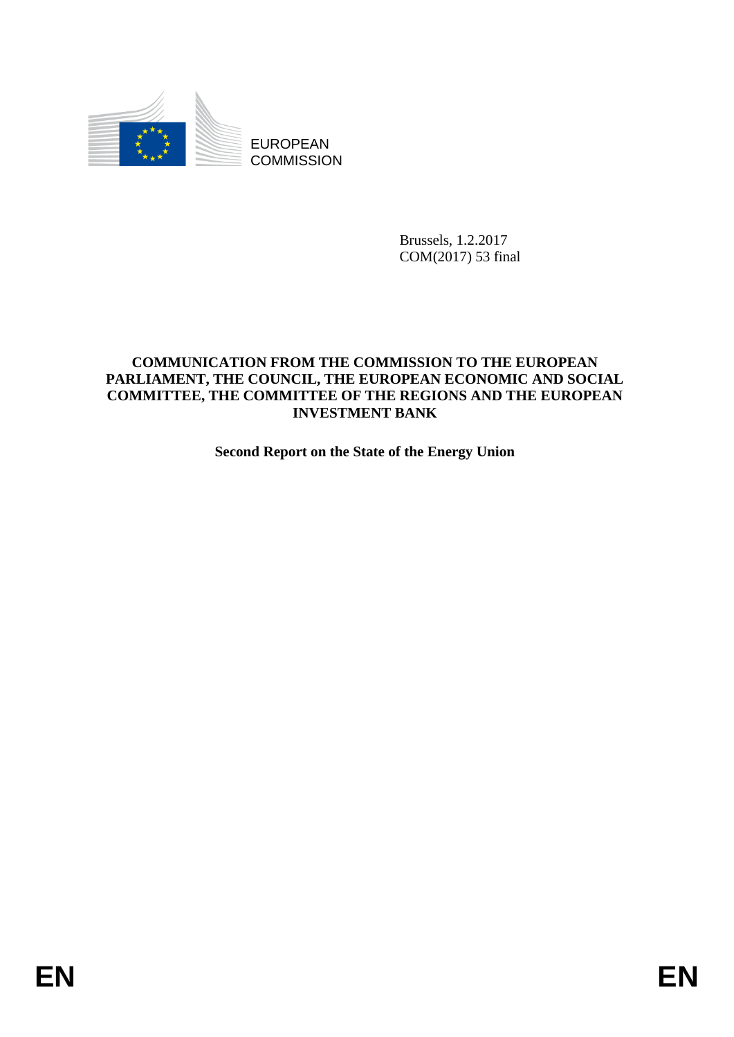

**COMMISSION** 

Brussels, 1.2.2017 COM(2017) 53 final

# **COMMUNICATION FROM THE COMMISSION TO THE EUROPEAN PARLIAMENT, THE COUNCIL, THE EUROPEAN ECONOMIC AND SOCIAL COMMITTEE, THE COMMITTEE OF THE REGIONS AND THE EUROPEAN INVESTMENT BANK**

**Second Report on the State of the Energy Union**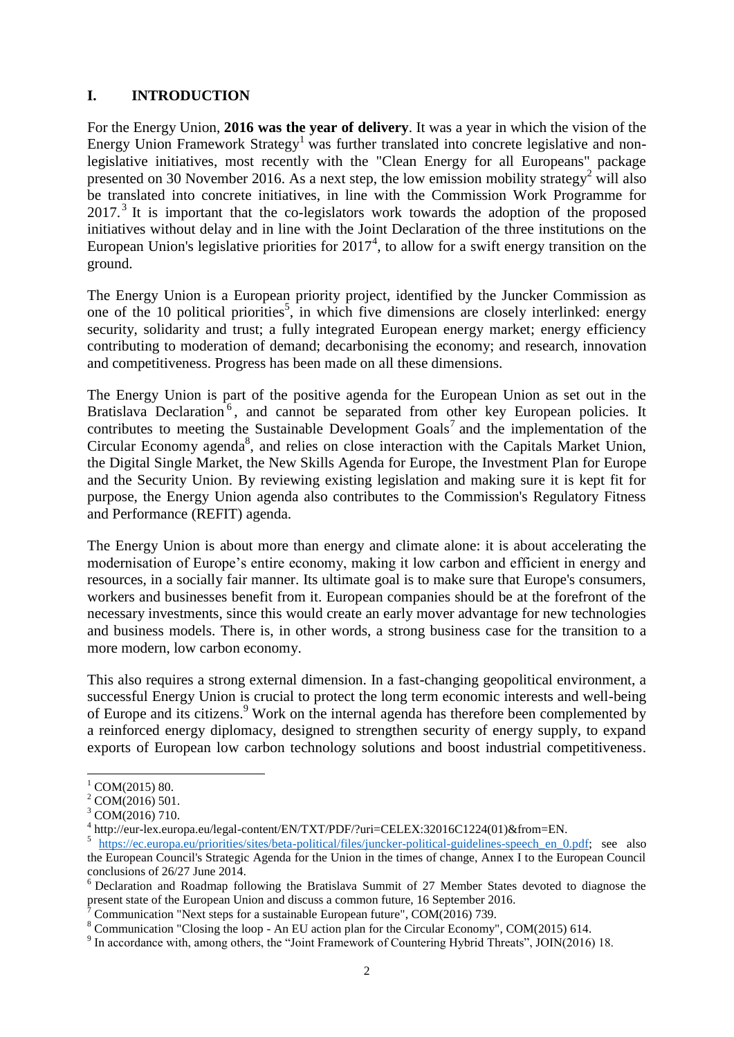# **I. INTRODUCTION**

For the Energy Union, **2016 was the year of delivery**. It was a year in which the vision of the Energy Union Framework Strategy<sup>1</sup> was further translated into concrete legislative and nonlegislative initiatives, most recently with the "Clean Energy for all Europeans" package presented on 30 November 2016. As a next step, the low emission mobility strategy<sup>2</sup> will also be translated into concrete initiatives, in line with the Commission Work Programme for  $2017<sup>3</sup>$  It is important that the co-legislators work towards the adoption of the proposed initiatives without delay and in line with the Joint Declaration of the three institutions on the European Union's legislative priorities for  $2017<sup>4</sup>$ , to allow for a swift energy transition on the ground.

The Energy Union is a European priority project, identified by the Juncker Commission as one of the 10 political priorities<sup>5</sup>, in which five dimensions are closely interlinked: energy security, solidarity and trust; a fully integrated European energy market; energy efficiency contributing to moderation of demand; decarbonising the economy; and research, innovation and competitiveness. Progress has been made on all these dimensions.

The Energy Union is part of the positive agenda for the European Union as set out in the Bratislava Declaration<sup>6</sup>, and cannot be separated from other key European policies. It contributes to meeting the Sustainable Development Goals<sup>7</sup> and the implementation of the Circular Economy agenda<sup>8</sup>, and relies on close interaction with the Capitals Market Union, the Digital Single Market, the New Skills Agenda for Europe, the Investment Plan for Europe and the Security Union. By reviewing existing legislation and making sure it is kept fit for purpose, the Energy Union agenda also contributes to the Commission's Regulatory Fitness and Performance (REFIT) agenda.

The Energy Union is about more than energy and climate alone: it is about accelerating the modernisation of Europe's entire economy, making it low carbon and efficient in energy and resources, in a socially fair manner. Its ultimate goal is to make sure that Europe's consumers, workers and businesses benefit from it. European companies should be at the forefront of the necessary investments, since this would create an early mover advantage for new technologies and business models. There is, in other words, a strong business case for the transition to a more modern, low carbon economy.

This also requires a strong external dimension. In a fast-changing geopolitical environment, a successful Energy Union is crucial to protect the long term economic interests and well-being of Europe and its citizens.<sup>9</sup> Work on the internal agenda has therefore been complemented by a reinforced energy diplomacy, designed to strengthen security of energy supply, to expand exports of European low carbon technology solutions and boost industrial competitiveness.

 $1$  COM(2015) 80.

 $2$  COM(2016) 501.

<sup>3</sup> COM(2016) 710.

<sup>4</sup> http://eur-lex.europa.eu/legal-content/EN/TXT/PDF/?uri=CELEX:32016C1224(01)&from=EN.

<sup>&</sup>lt;sup>5</sup> [https://ec.europa.eu/priorities/sites/beta-political/files/juncker-political-guidelines-speech\\_en\\_0.pdf;](https://ec.europa.eu/priorities/sites/beta-political/files/juncker-political-guidelines-speech_en_0.pdf) see also the European Council's Strategic Agenda for the Union in the times of change, Annex I to the European Council conclusions of 26/27 June 2014.

<sup>6</sup> Declaration and Roadmap following the Bratislava Summit of 27 Member States devoted to diagnose the present state of the European Union and discuss a common future, 16 September 2016.

<sup>7</sup> Communication "Next steps for a sustainable European future", COM(2016) 739.

<sup>8</sup> Communication "Closing the loop - An EU action plan for the Circular Economy", COM(2015) 614.

<sup>&</sup>lt;sup>9</sup> In accordance with, among others, the "Joint Framework of Countering Hybrid Threats", JOIN(2016) 18.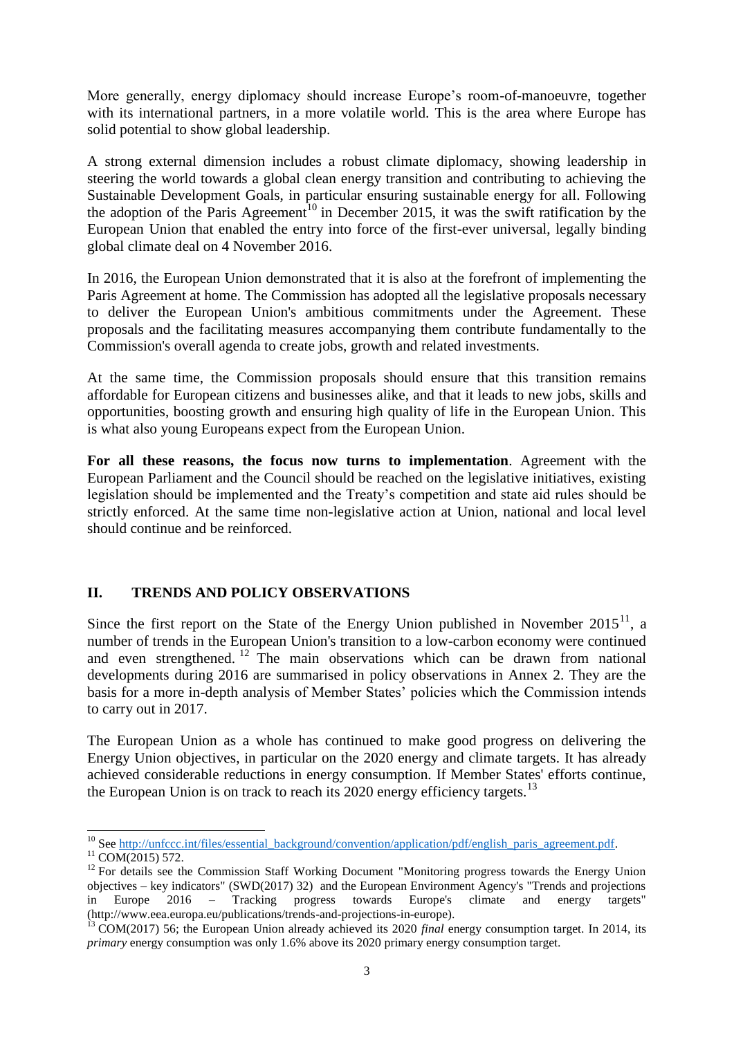More generally, energy diplomacy should increase Europe's room-of-manoeuvre, together with its international partners, in a more volatile world. This is the area where Europe has solid potential to show global leadership.

A strong external dimension includes a robust climate diplomacy, showing leadership in steering the world towards a global clean energy transition and contributing to achieving the Sustainable Development Goals, in particular ensuring sustainable energy for all. Following the adoption of the Paris Agreement<sup>10</sup> in December 2015, it was the swift ratification by the European Union that enabled the entry into force of the first-ever universal, legally binding global climate deal on 4 November 2016.

In 2016, the European Union demonstrated that it is also at the forefront of implementing the Paris Agreement at home. The Commission has adopted all the legislative proposals necessary to deliver the European Union's ambitious commitments under the Agreement. These proposals and the facilitating measures accompanying them contribute fundamentally to the Commission's overall agenda to create jobs, growth and related investments.

At the same time, the Commission proposals should ensure that this transition remains affordable for European citizens and businesses alike, and that it leads to new jobs, skills and opportunities, boosting growth and ensuring high quality of life in the European Union. This is what also young Europeans expect from the European Union.

**For all these reasons, the focus now turns to implementation**. Agreement with the European Parliament and the Council should be reached on the legislative initiatives, existing legislation should be implemented and the Treaty's competition and state aid rules should be strictly enforced. At the same time non-legislative action at Union, national and local level should continue and be reinforced.

# **II. TRENDS AND POLICY OBSERVATIONS**

Since the first report on the State of the Energy Union published in November  $2015<sup>11</sup>$ , a number of trends in the European Union's transition to a low-carbon economy were continued and even strengthened.<sup>12</sup> The main observations which can be drawn from national developments during 2016 are summarised in policy observations in Annex 2. They are the basis for a more in-depth analysis of Member States' policies which the Commission intends to carry out in 2017.

The European Union as a whole has continued to make good progress on delivering the Energy Union objectives, in particular on the 2020 energy and climate targets. It has already achieved considerable reductions in energy consumption. If Member States' efforts continue, the European Union is on track to reach its  $2020$  energy efficiency targets.<sup>13</sup>

 <sup>10</sup> See [http://unfccc.int/files/essential\\_background/convention/application/pdf/english\\_paris\\_agreement.pdf.](http://unfccc.int/files/essential_background/convention/application/pdf/english_paris_agreement.pdf)  $11$  COM(2015) 572.

<sup>&</sup>lt;sup>12</sup> For details see the Commission Staff Working Document "Monitoring progress towards the Energy Union objectives – key indicators" (SWD(2017) 32) and the European Environment Agency's "Trends and projections in Europe 2016 – Tracking progress towards Europe's climate and energy targets" (http://www.eea.europa.eu/publications/trends-and-projections-in-europe).

<sup>&</sup>lt;sup>13</sup> COM(2017) 56; the European Union already achieved its 2020 *final* energy consumption target. In 2014, its *primary* energy consumption was only 1.6% above its 2020 primary energy consumption target.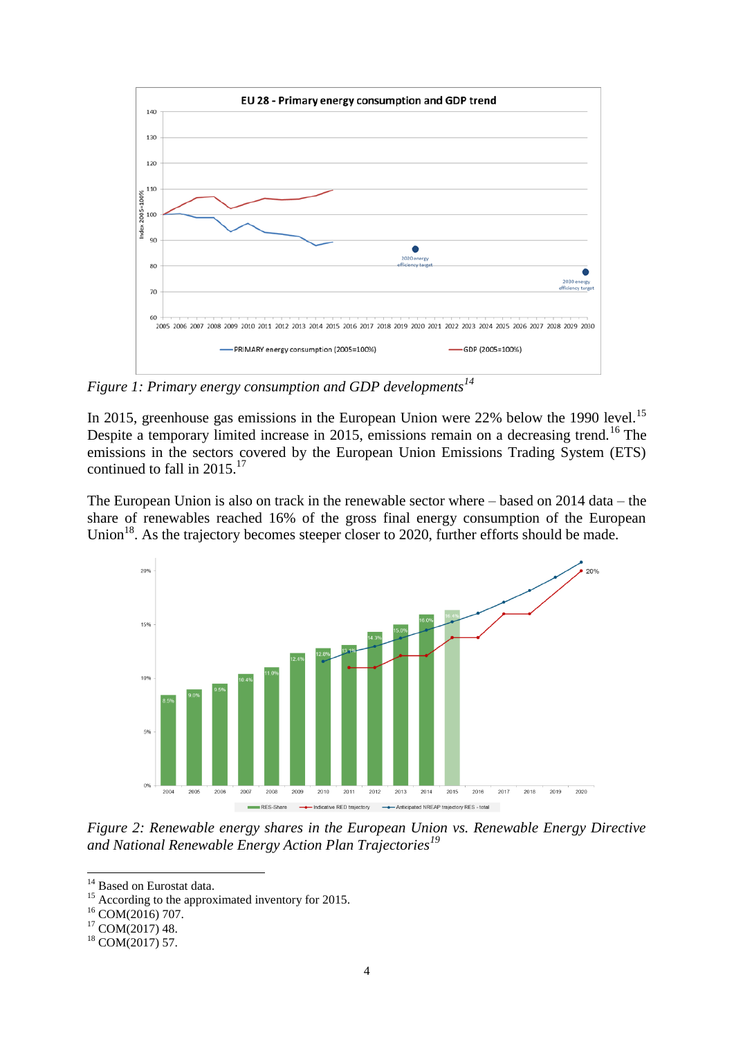

*Figure 1: Primary energy consumption and GDP developments<sup>14</sup>*

In 2015, greenhouse gas emissions in the European Union were  $22%$  below the 1990 level.<sup>15</sup> Despite a temporary limited increase in 2015, emissions remain on a decreasing trend.<sup>16</sup> The emissions in the sectors covered by the European Union Emissions Trading System (ETS) continued to fall in  $2015$ <sup>17</sup>

The European Union is also on track in the renewable sector where – based on 2014 data – the share of renewables reached 16% of the gross final energy consumption of the European Union<sup>18</sup>. As the trajectory becomes steeper closer to 2020, further efforts should be made.



*Figure 2: Renewable energy shares in the European Union vs. Renewable Energy Directive and National Renewable Energy Action Plan Trajectories<sup>19</sup>*

<sup>&</sup>lt;sup>14</sup> Based on Eurostat data.

<sup>&</sup>lt;sup>15</sup> According to the approximated inventory for 2015.

<sup>&</sup>lt;sup>16</sup> COM(2016) 707.

<sup>17</sup> COM(2017) 48.

<sup>18</sup> COM(2017) 57.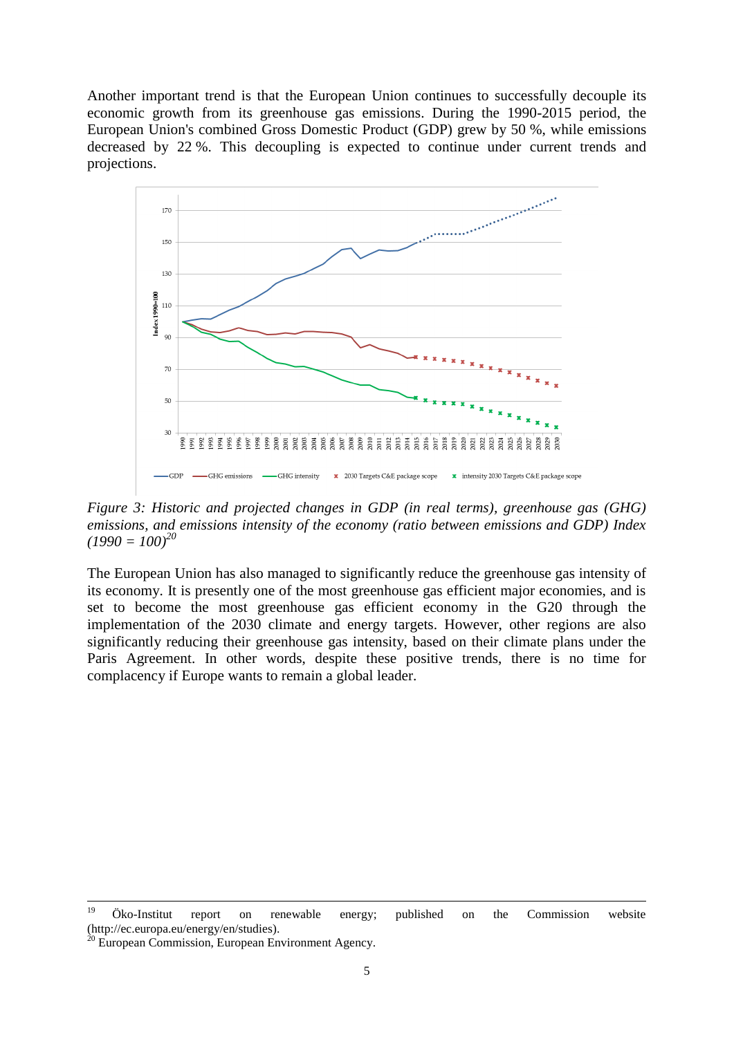Another important trend is that the European Union continues to successfully decouple its economic growth from its greenhouse gas emissions. During the 1990-2015 period, the European Union's combined Gross Domestic Product (GDP) grew by 50 %, while emissions decreased by 22 %. This decoupling is expected to continue under current trends and projections.



*Figure 3: Historic and projected changes in GDP (in real terms), greenhouse gas (GHG) emissions, and emissions intensity of the economy (ratio between emissions and GDP) Index*   $(1990 = 100)^{20}$ 

The European Union has also managed to significantly reduce the greenhouse gas intensity of its economy. It is presently one of the most greenhouse gas efficient major economies, and is set to become the most greenhouse gas efficient economy in the G20 through the implementation of the 2030 climate and energy targets. However, other regions are also significantly reducing their greenhouse gas intensity, based on their climate plans under the Paris Agreement. In other words, despite these positive trends, there is no time for complacency if Europe wants to remain a global leader.

<sup>19</sup> <sup>19</sup> Öko-Institut report on renewable energy; published on the Commission website (http://ec.europa.eu/energy/en/studies).

<sup>&</sup>lt;sup>20</sup> European Commission, European Environment Agency.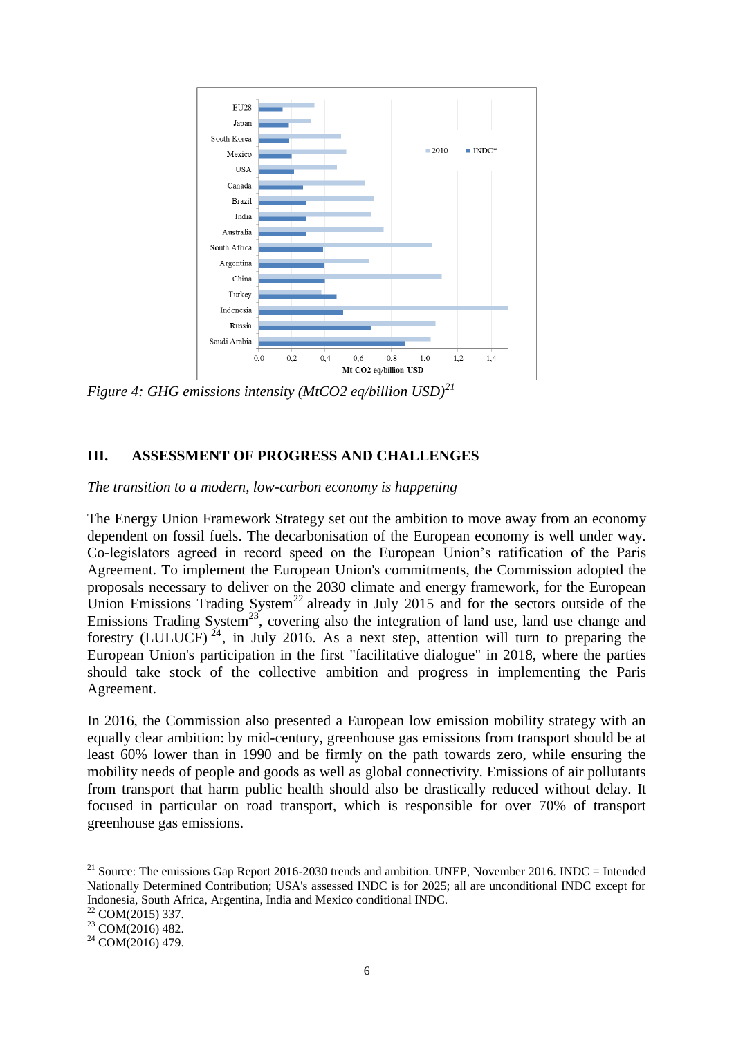

*Figure 4: GHG emissions intensity (MtCO2 eq/billion USD)<sup>21</sup>*

### **III. ASSESSMENT OF PROGRESS AND CHALLENGES**

*The transition to a modern, low-carbon economy is happening*

The Energy Union Framework Strategy set out the ambition to move away from an economy dependent on fossil fuels. The decarbonisation of the European economy is well under way. Co-legislators agreed in record speed on the European Union's ratification of the Paris Agreement. To implement the European Union's commitments, the Commission adopted the proposals necessary to deliver on the 2030 climate and energy framework, for the European Union Emissions Trading System<sup>22</sup> already in July 2015 and for the sectors outside of the Emissions Trading System<sup>23</sup>, covering also the integration of land use, land use change and forestry (LULUCF)<sup>24</sup>, in July 2016. As a next step, attention will turn to preparing the European Union's participation in the first "facilitative dialogue" in 2018, where the parties should take stock of the collective ambition and progress in implementing the Paris Agreement.

In 2016, the Commission also presented a European low emission mobility strategy with an equally clear ambition: by mid-century, greenhouse gas emissions from transport should be at least 60% lower than in 1990 and be firmly on the path towards zero, while ensuring the mobility needs of people and goods as well as global connectivity. Emissions of air pollutants from transport that harm public health should also be drastically reduced without delay. It focused in particular on road transport, which is responsible for over 70% of transport greenhouse gas emissions.

 $22$  COM(2015) 337.

 $^{21}$  Source: The emissions Gap Report 2016-2030 trends and ambition. UNEP, November 2016. INDC = Intended Nationally Determined Contribution; USA's assessed INDC is for 2025; all are unconditional INDC except for Indonesia, South Africa, Argentina, India and Mexico conditional INDC.

<sup>23</sup> COM(2016) 482.

 $24$  COM(2016) 479.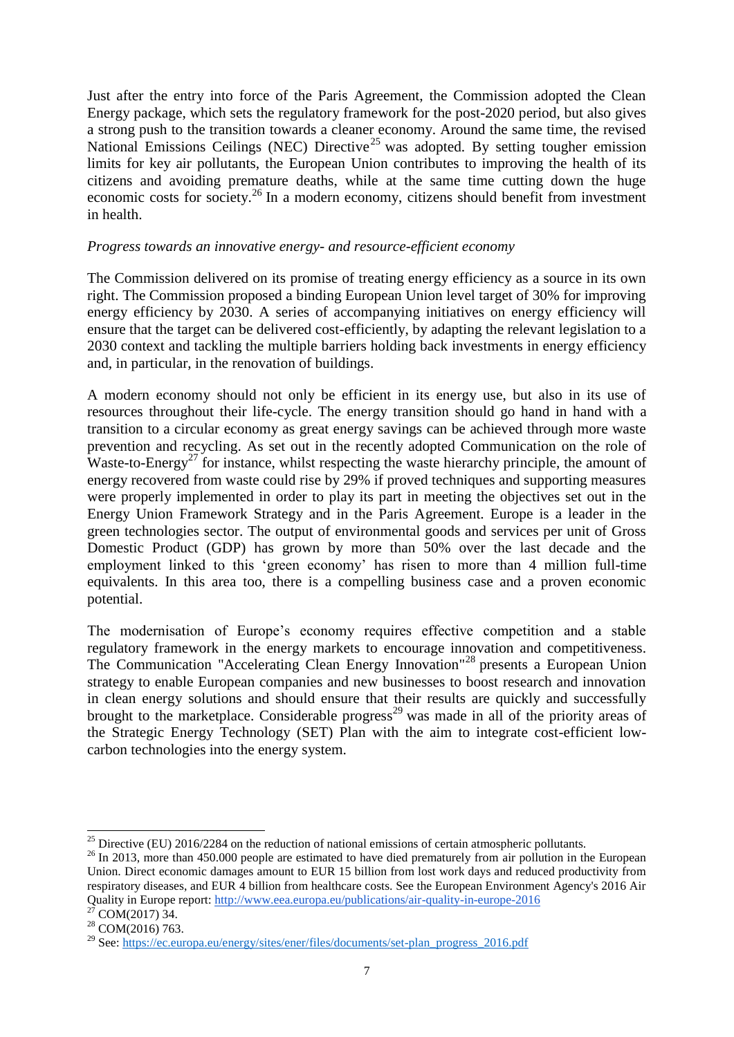Just after the entry into force of the Paris Agreement, the Commission adopted the Clean Energy package, which sets the regulatory framework for the post-2020 period, but also gives a strong push to the transition towards a cleaner economy. Around the same time, the revised National Emissions Ceilings (NEC) Directive<sup>25</sup> was adopted. By setting tougher emission limits for key air pollutants, the European Union contributes to improving the health of its citizens and avoiding premature deaths, while at the same time cutting down the huge economic costs for society.<sup>26</sup> In a modern economy, citizens should benefit from investment in health.

### *Progress towards an innovative energy- and resource-efficient economy*

The Commission delivered on its promise of treating energy efficiency as a source in its own right. The Commission proposed a binding European Union level target of 30% for improving energy efficiency by 2030. A series of accompanying initiatives on energy efficiency will ensure that the target can be delivered cost-efficiently, by adapting the relevant legislation to a 2030 context and tackling the multiple barriers holding back investments in energy efficiency and, in particular, in the renovation of buildings.

A modern economy should not only be efficient in its energy use, but also in its use of resources throughout their life-cycle. The energy transition should go hand in hand with a transition to a circular economy as great energy savings can be achieved through more waste prevention and recycling. As set out in the recently adopted Communication on the role of Waste-to-Energy<sup>27</sup> for instance, whilst respecting the waste hierarchy principle, the amount of energy recovered from waste could rise by 29% if proved techniques and supporting measures were properly implemented in order to play its part in meeting the objectives set out in the Energy Union Framework Strategy and in the Paris Agreement. Europe is a leader in the green technologies sector. The output of environmental goods and services per unit of Gross Domestic Product (GDP) has grown by more than 50% over the last decade and the employment linked to this 'green economy' has risen to more than 4 million full-time equivalents. In this area too, there is a compelling business case and a proven economic potential.

The modernisation of Europe's economy requires effective competition and a stable regulatory framework in the energy markets to encourage innovation and competitiveness. The Communication "Accelerating Clean Energy Innovation"<sup>28</sup> presents a European Union strategy to enable European companies and new businesses to boost research and innovation in clean energy solutions and should ensure that their results are quickly and successfully brought to the marketplace. Considerable progress<sup>29</sup> was made in all of the priority areas of the Strategic Energy Technology (SET) Plan with the aim to integrate cost-efficient lowcarbon technologies into the energy system.

<sup>&</sup>lt;sup>25</sup> Directive (EU) 2016/2284 on the reduction of national emissions of certain atmospheric pollutants.

<sup>&</sup>lt;sup>26</sup> In 2013, more than 450,000 people are estimated to have died prematurely from air pollution in the European Union. Direct economic damages amount to EUR 15 billion from lost work days and reduced productivity from respiratory diseases, and EUR 4 billion from healthcare costs. See the European Environment Agency's 2016 Air Quality in Europe report:<http://www.eea.europa.eu/publications/air-quality-in-europe-2016>

 $27$  COM(2017) 34.

<sup>&</sup>lt;sup>28</sup> COM(2016) 763.

<sup>&</sup>lt;sup>29</sup> See: [https://ec.europa.eu/energy/sites/ener/files/documents/set-plan\\_progress\\_2016.pdf](https://ec.europa.eu/energy/sites/ener/files/documents/set-plan_progress_2016.pdf)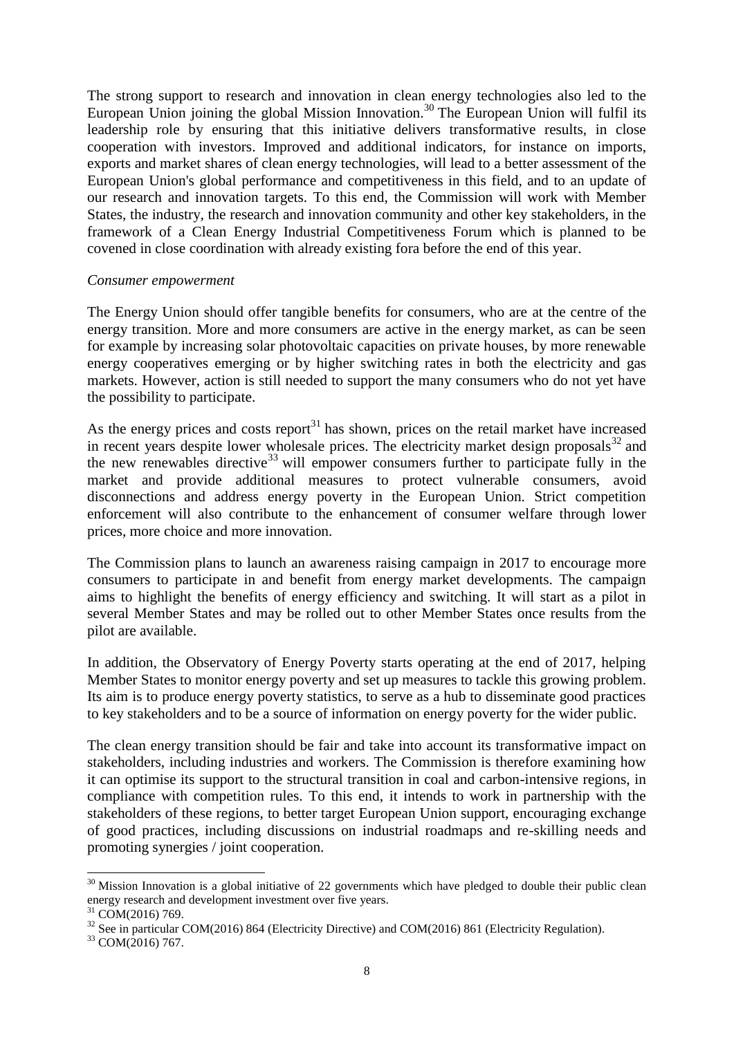The strong support to research and innovation in clean energy technologies also led to the European Union joining the global Mission Innovation.<sup>30</sup> The European Union will fulfil its leadership role by ensuring that this initiative delivers transformative results, in close cooperation with investors. Improved and additional indicators, for instance on imports, exports and market shares of clean energy technologies, will lead to a better assessment of the European Union's global performance and competitiveness in this field, and to an update of our research and innovation targets. To this end, the Commission will work with Member States, the industry, the research and innovation community and other key stakeholders, in the framework of a Clean Energy Industrial Competitiveness Forum which is planned to be covened in close coordination with already existing fora before the end of this year.

#### *Consumer empowerment*

The Energy Union should offer tangible benefits for consumers, who are at the centre of the energy transition. More and more consumers are active in the energy market, as can be seen for example by increasing solar photovoltaic capacities on private houses, by more renewable energy cooperatives emerging or by higher switching rates in both the electricity and gas markets. However, action is still needed to support the many consumers who do not yet have the possibility to participate.

As the energy prices and costs report $31$  has shown, prices on the retail market have increased in recent years despite lower wholesale prices. The electricity market design proposals $^{32}$  and the new renewables directive<sup>33</sup> will empower consumers further to participate fully in the market and provide additional measures to protect vulnerable consumers, avoid disconnections and address energy poverty in the European Union. Strict competition enforcement will also contribute to the enhancement of consumer welfare through lower prices, more choice and more innovation.

The Commission plans to launch an awareness raising campaign in 2017 to encourage more consumers to participate in and benefit from energy market developments. The campaign aims to highlight the benefits of energy efficiency and switching. It will start as a pilot in several Member States and may be rolled out to other Member States once results from the pilot are available.

In addition, the Observatory of Energy Poverty starts operating at the end of 2017, helping Member States to monitor energy poverty and set up measures to tackle this growing problem. Its aim is to produce energy poverty statistics, to serve as a hub to disseminate good practices to key stakeholders and to be a source of information on energy poverty for the wider public.

The clean energy transition should be fair and take into account its transformative impact on stakeholders, including industries and workers. The Commission is therefore examining how it can optimise its support to the structural transition in coal and carbon-intensive regions, in compliance with competition rules. To this end, it intends to work in partnership with the stakeholders of these regions, to better target European Union support, encouraging exchange of good practices, including discussions on industrial roadmaps and re-skilling needs and promoting synergies / joint cooperation.

  $30$  Mission Innovation is a global initiative of 22 governments which have pledged to double their public clean energy research and development investment over five years.

 $31$  COM(2016) 769.

<sup>&</sup>lt;sup>32</sup> See in particular COM(2016) 864 (Electricity Directive) and COM(2016) 861 (Electricity Regulation).

<sup>&</sup>lt;sup>33</sup> COM(2016) 767.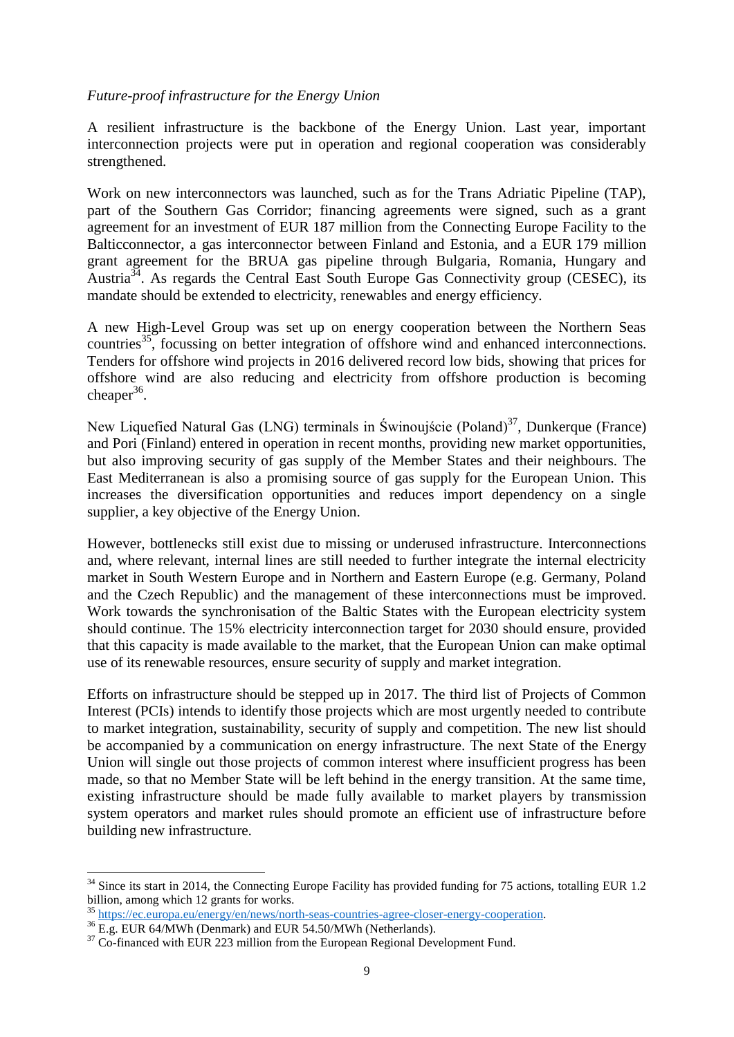### *Future-proof infrastructure for the Energy Union*

A resilient infrastructure is the backbone of the Energy Union. Last year, important interconnection projects were put in operation and regional cooperation was considerably strengthened.

Work on new interconnectors was launched, such as for the Trans Adriatic Pipeline (TAP), part of the Southern Gas Corridor; financing agreements were signed, such as a grant agreement for an investment of EUR 187 million from the Connecting Europe Facility to the Balticconnector, a gas interconnector between Finland and Estonia, and a EUR 179 million grant agreement for the BRUA gas pipeline through Bulgaria, Romania, Hungary and Austria<sup>34</sup>. As regards the Central East South Europe Gas Connectivity group (CESEC), its mandate should be extended to electricity, renewables and energy efficiency.

A new High-Level Group was set up on energy cooperation between the Northern Seas countries<sup>35</sup>, focussing on better integration of offshore wind and enhanced interconnections. Tenders for offshore wind projects in 2016 delivered record low bids, showing that prices for offshore wind are also reducing and electricity from offshore production is becoming cheaper<sup>36</sup>.

New Liquefied Natural Gas (LNG) terminals in Świnoujście (Poland)<sup>37</sup>, Dunkerque (France) and Pori (Finland) entered in operation in recent months, providing new market opportunities, but also improving security of gas supply of the Member States and their neighbours. The East Mediterranean is also a promising source of gas supply for the European Union. This increases the diversification opportunities and reduces import dependency on a single supplier, a key objective of the Energy Union.

However, bottlenecks still exist due to missing or underused infrastructure. Interconnections and, where relevant, internal lines are still needed to further integrate the internal electricity market in South Western Europe and in Northern and Eastern Europe (e.g. Germany, Poland and the Czech Republic) and the management of these interconnections must be improved. Work towards the synchronisation of the Baltic States with the European electricity system should continue. The 15% electricity interconnection target for 2030 should ensure, provided that this capacity is made available to the market, that the European Union can make optimal use of its renewable resources, ensure security of supply and market integration.

Efforts on infrastructure should be stepped up in 2017. The third list of Projects of Common Interest (PCIs) intends to identify those projects which are most urgently needed to contribute to market integration, sustainability, security of supply and competition. The new list should be accompanied by a communication on energy infrastructure. The next State of the Energy Union will single out those projects of common interest where insufficient progress has been made, so that no Member State will be left behind in the energy transition. At the same time, existing infrastructure should be made fully available to market players by transmission system operators and market rules should promote an efficient use of infrastructure before building new infrastructure.

  $34$  Since its start in 2014, the Connecting Europe Facility has provided funding for 75 actions, totalling EUR 1.2 billion, among which 12 grants for works.

<sup>35</sup> [https://ec.europa.eu/energy/en/news/north-seas-countries-agree-closer-energy-cooperation.](https://ec.europa.eu/energy/en/news/north-seas-countries-agree-closer-energy-cooperation)

<sup>&</sup>lt;sup>36</sup> E.g. EUR 64/MWh (Denmark) and EUR 54.50/MWh (Netherlands).

 $37 \text{ Co-financed with EUR } 223 \text{ million from the European Regional Development Fund.}$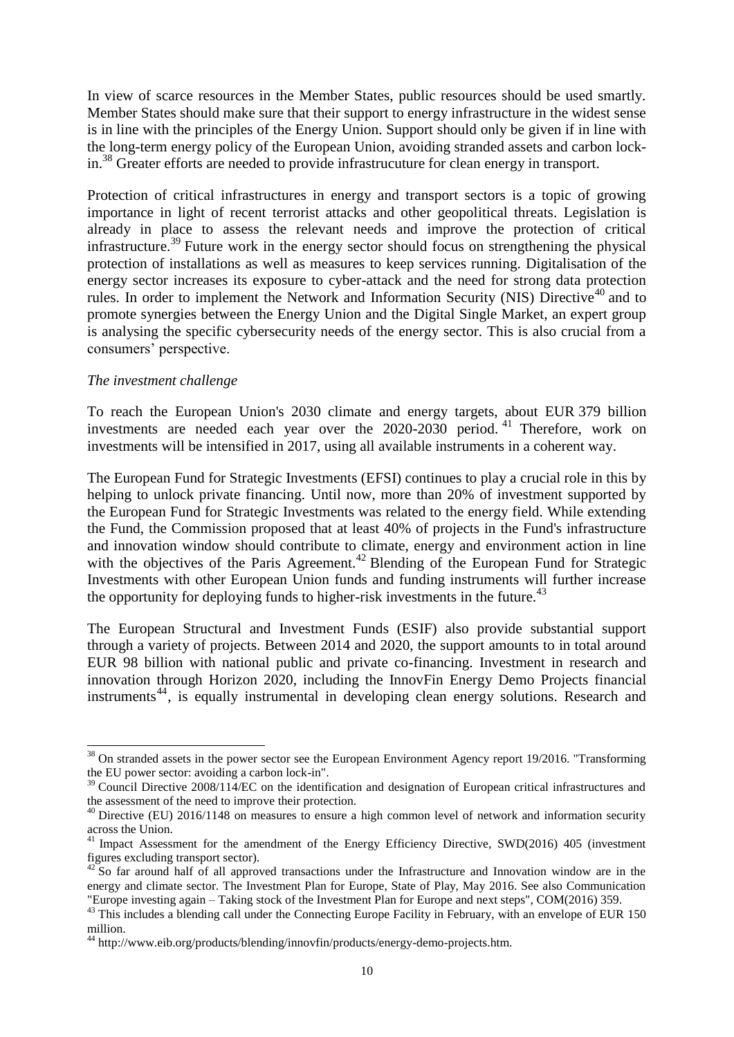In view of scarce resources in the Member States, public resources should be used smartly. Member States should make sure that their support to energy infrastructure in the widest sense is in line with the principles of the Energy Union. Support should only be given if in line with the long-term energy policy of the European Union, avoiding stranded assets and carbon lockin.<sup>38</sup> Greater efforts are needed to provide infrastrucuture for clean energy in transport.

Protection of critical infrastructures in energy and transport sectors is a topic of growing importance in light of recent terrorist attacks and other geopolitical threats. Legislation is already in place to assess the relevant needs and improve the protection of critical infrastructure.<sup>39</sup> Future work in the energy sector should focus on strengthening the physical protection of installations as well as measures to keep services running. Digitalisation of the energy sector increases its exposure to cyber-attack and the need for strong data protection rules. In order to implement the Network and Information Security (NIS) Directive<sup>40</sup> and to promote synergies between the Energy Union and the Digital Single Market, an expert group is analysing the specific cybersecurity needs of the energy sector. This is also crucial from a consumers' perspective.

#### *The investment challenge*

To reach the European Union's 2030 climate and energy targets, about EUR 379 billion investments are needed each year over the 2020-2030 period. <sup>41</sup> Therefore, work on investments will be intensified in 2017, using all available instruments in a coherent way.

The European Fund for Strategic Investments (EFSI) continues to play a crucial role in this by helping to unlock private financing. Until now, more than 20% of investment supported by the European Fund for Strategic Investments was related to the energy field. While extending the Fund, the Commission proposed that at least 40% of projects in the Fund's infrastructure and innovation window should contribute to climate, energy and environment action in line with the objectives of the Paris Agreement.<sup>42</sup> Blending of the European Fund for Strategic Investments with other European Union funds and funding instruments will further increase the opportunity for deploying funds to higher-risk investments in the future.<sup>43</sup>

The European Structural and Investment Funds (ESIF) also provide substantial support through a variety of projects. Between 2014 and 2020, the support amounts to in total around EUR 98 billion with national public and private co-financing. Investment in research and innovation through Horizon 2020, including the InnovFin Energy Demo Projects financial instruments<sup>44</sup>, is equally instrumental in developing clean energy solutions. Research and

 $38$  On stranded assets in the power sector see the European Environment Agency report 19/2016. "Transforming the EU power sector: avoiding a carbon lock-in".

<sup>&</sup>lt;sup>39</sup> Council Directive 2008/114/EC on the identification and designation of European critical infrastructures and the assessment of the need to improve their protection.

 $40$  Directive (EU) 2016/1148 on measures to ensure a high common level of network and information security across the Union.

<sup>&</sup>lt;sup>41</sup> Impact Assessment for the amendment of the Energy Efficiency Directive, SWD(2016) 405 (investment figures excluding transport sector).

<sup>42</sup> So far around half of all approved transactions under the Infrastructure and Innovation window are in the energy and climate sector. The Investment Plan for Europe, State of Play, May 2016. See also Communication "Europe investing again – Taking stock of the Investment Plan for Europe and next steps", COM(2016) 359.

<sup>&</sup>lt;sup>43</sup> This includes a blending call under the Connecting Europe Facility in February, with an envelope of EUR 150 million.

<sup>44</sup> http://www.eib.org/products/blending/innovfin/products/energy-demo-projects.htm.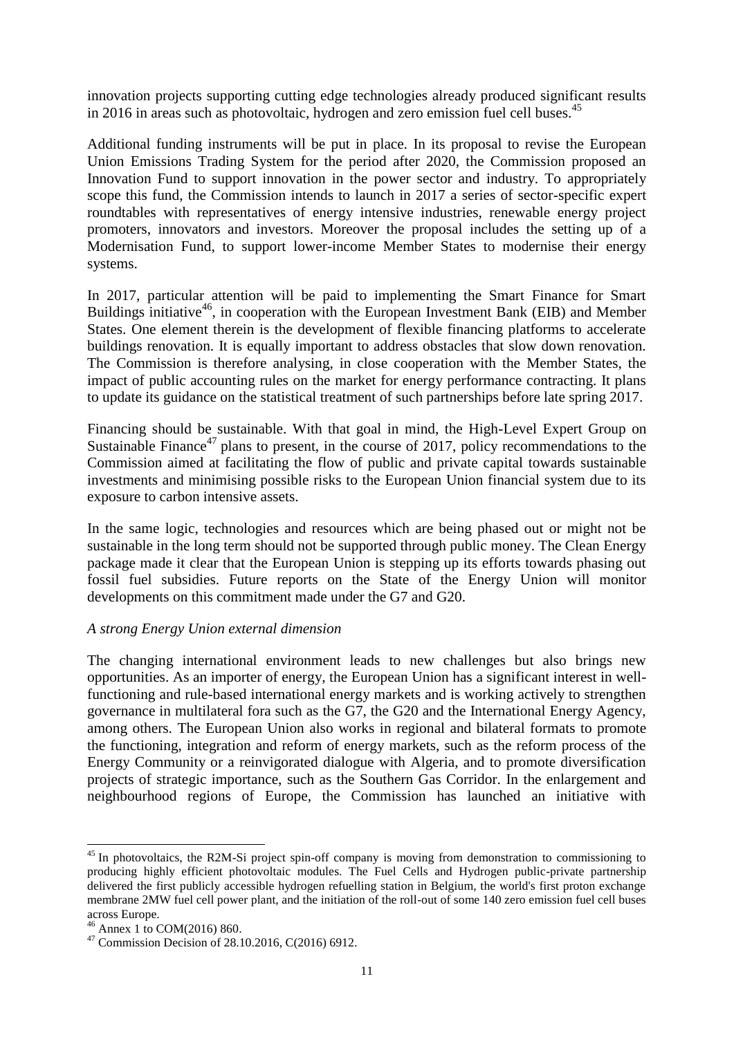innovation projects supporting cutting edge technologies already produced significant results in 2016 in areas such as photovoltaic, hydrogen and zero emission fuel cell buses.<sup>45</sup>

Additional funding instruments will be put in place. In its proposal to revise the European Union Emissions Trading System for the period after 2020, the Commission proposed an Innovation Fund to support innovation in the power sector and industry. To appropriately scope this fund, the Commission intends to launch in 2017 a series of sector-specific expert roundtables with representatives of energy intensive industries, renewable energy project promoters, innovators and investors. Moreover the proposal includes the setting up of a Modernisation Fund, to support lower-income Member States to modernise their energy systems.

In 2017, particular attention will be paid to implementing the Smart Finance for Smart Buildings initiative<sup>46</sup>, in cooperation with the European Investment Bank (EIB) and Member States. One element therein is the development of flexible financing platforms to accelerate buildings renovation. It is equally important to address obstacles that slow down renovation. The Commission is therefore analysing, in close cooperation with the Member States, the impact of public accounting rules on the market for energy performance contracting. It plans to update its guidance on the statistical treatment of such partnerships before late spring 2017.

Financing should be sustainable. With that goal in mind, the High-Level Expert Group on Sustainable Finance<sup>47</sup> plans to present, in the course of 2017, policy recommendations to the Commission aimed at facilitating the flow of public and private capital towards sustainable investments and minimising possible risks to the European Union financial system due to its exposure to carbon intensive assets.

In the same logic, technologies and resources which are being phased out or might not be sustainable in the long term should not be supported through public money. The Clean Energy package made it clear that the European Union is stepping up its efforts towards phasing out fossil fuel subsidies. Future reports on the State of the Energy Union will monitor developments on this commitment made under the G7 and G20.

### *A strong Energy Union external dimension*

The changing international environment leads to new challenges but also brings new opportunities. As an importer of energy, the European Union has a significant interest in wellfunctioning and rule-based international energy markets and is working actively to strengthen governance in multilateral fora such as the G7, the G20 and the International Energy Agency, among others. The European Union also works in regional and bilateral formats to promote the functioning, integration and reform of energy markets, such as the reform process of the Energy Community or a reinvigorated dialogue with Algeria, and to promote diversification projects of strategic importance, such as the Southern Gas Corridor. In the enlargement and neighbourhood regions of Europe, the Commission has launched an initiative with

 $45$  In photovoltaics, the R2M-Si project spin-off company is moving from demonstration to commissioning to producing highly efficient photovoltaic modules. The Fuel Cells and Hydrogen public-private partnership delivered the first publicly accessible hydrogen refuelling station in Belgium, the world's first proton exchange membrane 2MW fuel cell power plant, and the initiation of the roll-out of some 140 zero emission fuel cell buses across Europe.

<sup>46</sup> Annex 1 to COM(2016) 860.

 $47$  Commission Decision of 28.10.2016, C(2016) 6912.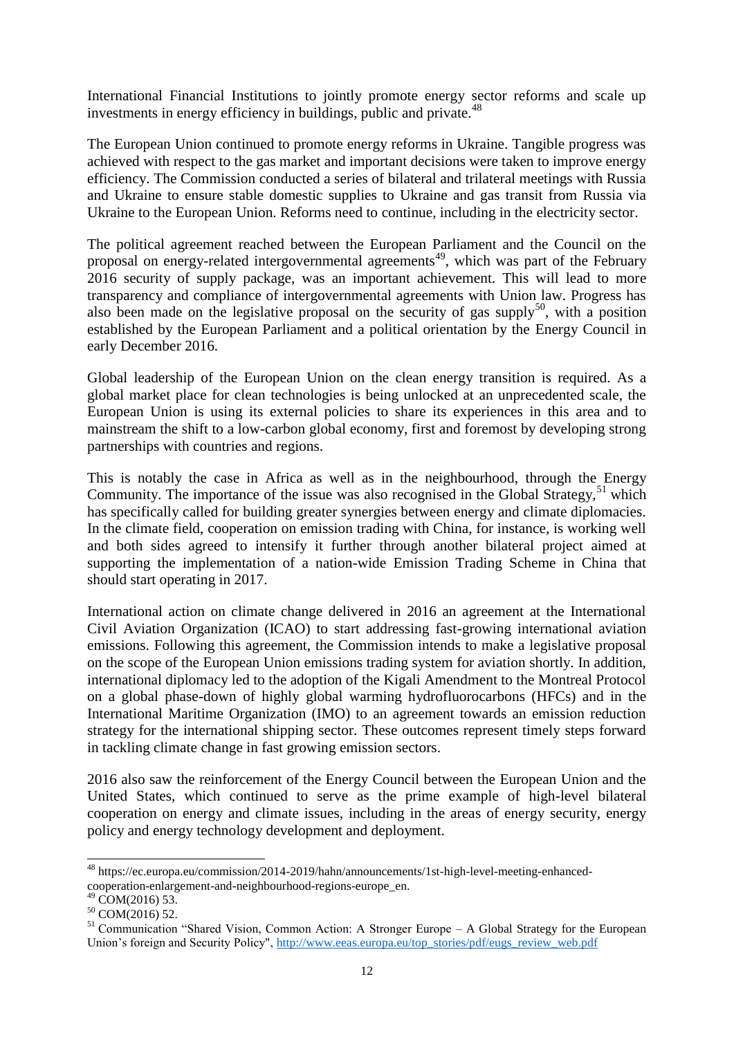International Financial Institutions to jointly promote energy sector reforms and scale up investments in energy efficiency in buildings, public and private.<sup>48</sup>

The European Union continued to promote energy reforms in Ukraine. Tangible progress was achieved with respect to the gas market and important decisions were taken to improve energy efficiency. The Commission conducted a series of bilateral and trilateral meetings with Russia and Ukraine to ensure stable domestic supplies to Ukraine and gas transit from Russia via Ukraine to the European Union. Reforms need to continue, including in the electricity sector.

The political agreement reached between the European Parliament and the Council on the proposal on energy-related intergovernmental agreements<sup>49</sup>, which was part of the February 2016 security of supply package, was an important achievement. This will lead to more transparency and compliance of intergovernmental agreements with Union law. Progress has also been made on the legislative proposal on the security of gas supply<sup>50</sup>, with a position established by the European Parliament and a political orientation by the Energy Council in early December 2016.

Global leadership of the European Union on the clean energy transition is required. As a global market place for clean technologies is being unlocked at an unprecedented scale, the European Union is using its external policies to share its experiences in this area and to mainstream the shift to a low-carbon global economy, first and foremost by developing strong partnerships with countries and regions.

This is notably the case in Africa as well as in the neighbourhood, through the Energy Community. The importance of the issue was also recognised in the Global Strategy,  $51$  which has specifically called for building greater synergies between energy and climate diplomacies. In the climate field, cooperation on emission trading with China, for instance, is working well and both sides agreed to intensify it further through another bilateral project aimed at supporting the implementation of a nation-wide Emission Trading Scheme in China that should start operating in 2017.

International action on climate change delivered in 2016 an agreement at the International Civil Aviation Organization (ICAO) to start addressing fast-growing international aviation emissions. Following this agreement, the Commission intends to make a legislative proposal on the scope of the European Union emissions trading system for aviation shortly. In addition, international diplomacy led to the adoption of the Kigali Amendment to the Montreal Protocol on a global phase-down of highly global warming hydrofluorocarbons (HFCs) and in the International Maritime Organization (IMO) to an agreement towards an emission reduction strategy for the international shipping sector. These outcomes represent timely steps forward in tackling climate change in fast growing emission sectors.

2016 also saw the reinforcement of the Energy Council between the European Union and the United States, which continued to serve as the prime example of high-level bilateral cooperation on energy and climate issues, including in the areas of energy security, energy policy and energy technology development and deployment.

<sup>48</sup> https://ec.europa.eu/commission/2014-2019/hahn/announcements/1st-high-level-meeting-enhancedcooperation-enlargement-and-neighbourhood-regions-europe\_en.

 $49$  COM(2016) 53.

 $50$  COM(2016) 52.

<sup>&</sup>lt;sup>51</sup> Communication "Shared Vision, Common Action: A Stronger Europe – A Global Strategy for the European Union's foreign and Security Policy", [http://www.eeas.europa.eu/top\\_stories/pdf/eugs\\_review\\_web.pdf](http://www.eeas.europa.eu/top_stories/pdf/eugs_review_web.pdf)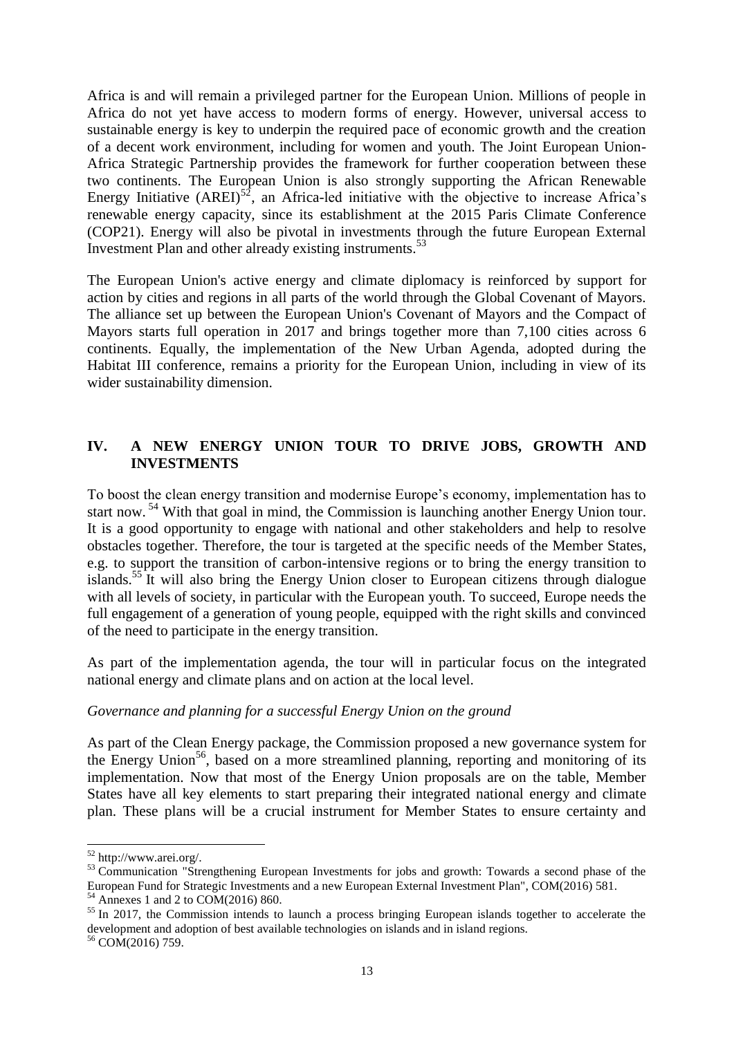Africa is and will remain a privileged partner for the European Union. Millions of people in Africa do not yet have access to modern forms of energy. However, universal access to sustainable energy is key to underpin the required pace of economic growth and the creation of a decent work environment, including for women and youth. The Joint European Union-Africa Strategic Partnership provides the framework for further cooperation between these two continents. The European Union is also strongly supporting the African Renewable Energy Initiative  $(AREI)^{52}$ , an Africa-led initiative with the objective to increase Africa's renewable energy capacity, since its establishment at the 2015 Paris Climate Conference (COP21). Energy will also be pivotal in investments through the future European External Investment Plan and other already existing instruments.<sup>53</sup>

The European Union's active energy and climate diplomacy is reinforced by support for action by cities and regions in all parts of the world through the Global Covenant of Mayors. The alliance set up between the European Union's Covenant of Mayors and the Compact of Mayors starts full operation in 2017 and brings together more than 7,100 cities across 6 continents. Equally, the implementation of the New Urban Agenda, adopted during the Habitat III conference, remains a priority for the European Union, including in view of its wider sustainability dimension.

# **IV. A NEW ENERGY UNION TOUR TO DRIVE JOBS, GROWTH AND INVESTMENTS**

To boost the clean energy transition and modernise Europe's economy, implementation has to start now.<sup>54</sup> With that goal in mind, the Commission is launching another Energy Union tour. It is a good opportunity to engage with national and other stakeholders and help to resolve obstacles together. Therefore, the tour is targeted at the specific needs of the Member States, e.g. to support the transition of carbon-intensive regions or to bring the energy transition to islands.<sup>55</sup> It will also bring the Energy Union closer to European citizens through dialogue with all levels of society, in particular with the European youth. To succeed, Europe needs the full engagement of a generation of young people, equipped with the right skills and convinced of the need to participate in the energy transition.

As part of the implementation agenda, the tour will in particular focus on the integrated national energy and climate plans and on action at the local level.

### *Governance and planning for a successful Energy Union on the ground*

As part of the Clean Energy package, the Commission proposed a new governance system for the Energy Union<sup>56</sup>, based on a more streamlined planning, reporting and monitoring of its implementation. Now that most of the Energy Union proposals are on the table, Member States have all key elements to start preparing their integrated national energy and climate plan. These plans will be a crucial instrument for Member States to ensure certainty and

 $52$  http://www.arei.org/.

<sup>53</sup> Communication "Strengthening European Investments for jobs and growth: Towards a second phase of the European Fund for Strategic Investments and a new European External Investment Plan", COM(2016) 581.

 $54$  Annexes 1 and 2 to COM(2016) 860.

<sup>&</sup>lt;sup>55</sup> In 2017, the Commission intends to launch a process bringing European islands together to accelerate the development and adoption of best available technologies on islands and in island regions.

 $56$  COM(2016) 759.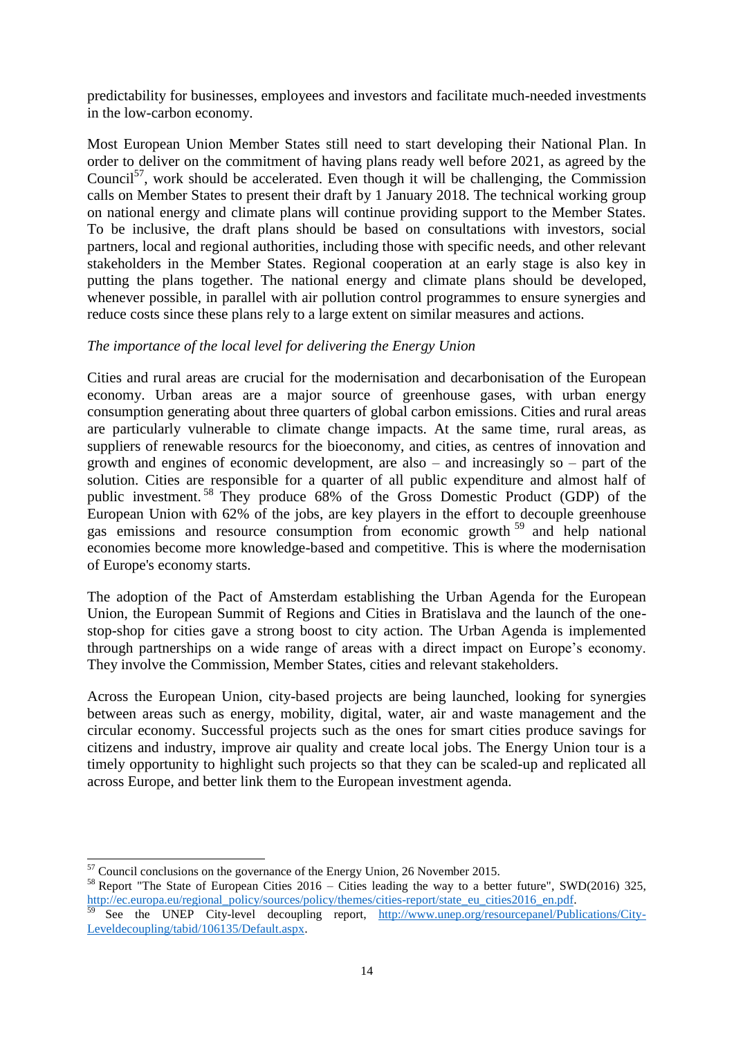predictability for businesses, employees and investors and facilitate much-needed investments in the low-carbon economy.

Most European Union Member States still need to start developing their National Plan. In order to deliver on the commitment of having plans ready well before 2021, as agreed by the Council<sup>57</sup>, work should be accelerated. Even though it will be challenging, the Commission calls on Member States to present their draft by 1 January 2018. The technical working group on national energy and climate plans will continue providing support to the Member States. To be inclusive, the draft plans should be based on consultations with investors, social partners, local and regional authorities, including those with specific needs, and other relevant stakeholders in the Member States. Regional cooperation at an early stage is also key in putting the plans together. The national energy and climate plans should be developed, whenever possible, in parallel with air pollution control programmes to ensure synergies and reduce costs since these plans rely to a large extent on similar measures and actions.

### *The importance of the local level for delivering the Energy Union*

Cities and rural areas are crucial for the modernisation and decarbonisation of the European economy. Urban areas are a major source of greenhouse gases, with urban energy consumption generating about three quarters of global carbon emissions. Cities and rural areas are particularly vulnerable to climate change impacts. At the same time, rural areas, as suppliers of renewable resourcs for the bioeconomy, and cities, as centres of innovation and growth and engines of economic development, are also – and increasingly so – part of the solution. Cities are responsible for a quarter of all public expenditure and almost half of public investment. <sup>58</sup> They produce 68% of the Gross Domestic Product (GDP) of the European Union with 62% of the jobs, are key players in the effort to decouple greenhouse gas emissions and resource consumption from economic growth <sup>59</sup> and help national economies become more knowledge-based and competitive. This is where the modernisation of Europe's economy starts.

The adoption of the Pact of Amsterdam establishing the Urban Agenda for the European Union, the European Summit of Regions and Cities in Bratislava and the launch of the onestop-shop for cities gave a strong boost to city action. The Urban Agenda is implemented through partnerships on a wide range of areas with a direct impact on Europe's economy. They involve the Commission, Member States, cities and relevant stakeholders.

Across the European Union, city-based projects are being launched, looking for synergies between areas such as energy, mobility, digital, water, air and waste management and the circular economy. Successful projects such as the ones for smart cities produce savings for citizens and industry, improve air quality and create local jobs. The Energy Union tour is a timely opportunity to highlight such projects so that they can be scaled-up and replicated all across Europe, and better link them to the European investment agenda.

 $57$  Council conclusions on the governance of the Energy Union, 26 November 2015.

<sup>&</sup>lt;sup>58</sup> Report "The State of European Cities  $2016 - \overrightarrow{C}$  lies leading the way to a better future", SWD(2016) 325, [http://ec.europa.eu/regional\\_policy/sources/policy/themes/cities-report/state\\_eu\\_cities2016\\_en.pdf.](http://ec.europa.eu/regional_policy/sources/policy/themes/cities-report/state_eu_cities2016_en.pdf)

See the UNEP City-level decoupling report, [http://www.unep.org/resourcepanel/Publications/City-](http://www.unep.org/resourcepanel/Publications/City-Leveldecoupling/tabid/106135/Default.aspx)[Leveldecoupling/tabid/106135/Default.aspx.](http://www.unep.org/resourcepanel/Publications/City-Leveldecoupling/tabid/106135/Default.aspx)